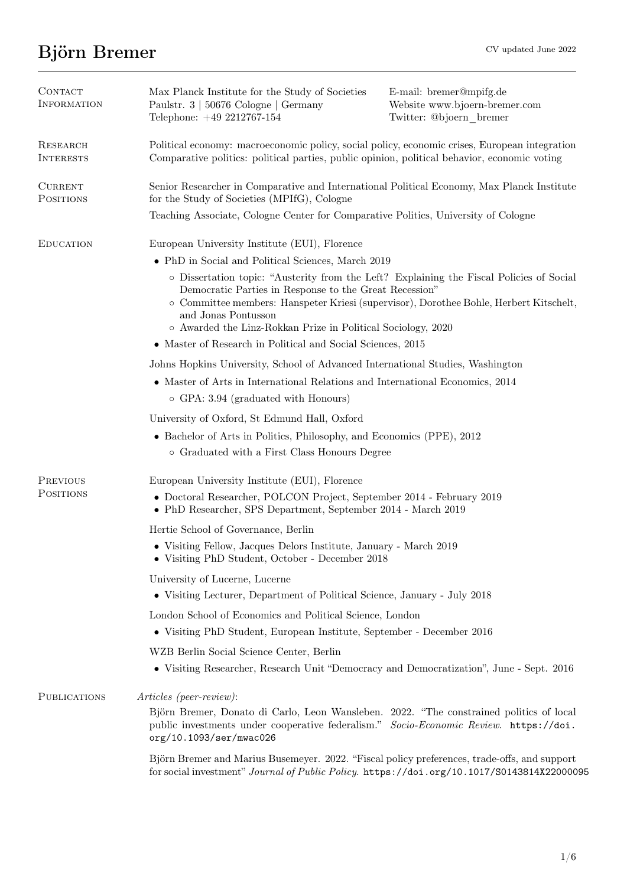# Björn Bremer CV updated June 2022

| CONTACT<br><b>INFORMATION</b> | Max Planck Institute for the Study of Societies<br>Paulstr. 3   50676 Cologne   Germany<br>Telephone: +49 2212767-154                                                                                                                                                                                                                                                                                        | E-mail: bremer@mpifg.de<br>Website www.bjoern-bremer.com<br>Twitter: @bjoern bremer |
|-------------------------------|--------------------------------------------------------------------------------------------------------------------------------------------------------------------------------------------------------------------------------------------------------------------------------------------------------------------------------------------------------------------------------------------------------------|-------------------------------------------------------------------------------------|
| RESEARCH<br><b>INTERESTS</b>  | Political economy: macroeconomic policy, social policy, economic crises, European integration<br>Comparative politics: political parties, public opinion, political behavior, economic voting                                                                                                                                                                                                                |                                                                                     |
| <b>CURRENT</b><br>POSITIONS   | Senior Researcher in Comparative and International Political Economy, Max Planck Institute<br>for the Study of Societies (MPIfG), Cologne                                                                                                                                                                                                                                                                    |                                                                                     |
|                               | Teaching Associate, Cologne Center for Comparative Politics, University of Cologne                                                                                                                                                                                                                                                                                                                           |                                                                                     |
| <b>EDUCATION</b>              | European University Institute (EUI), Florence                                                                                                                                                                                                                                                                                                                                                                |                                                                                     |
|                               | • PhD in Social and Political Sciences, March 2019                                                                                                                                                                                                                                                                                                                                                           |                                                                                     |
|                               | o Dissertation topic: "Austerity from the Left? Explaining the Fiscal Policies of Social<br>Democratic Parties in Response to the Great Recession"<br>o Committee members: Hanspeter Kriesi (supervisor), Dorothee Bohle, Herbert Kitschelt,<br>and Jonas Pontusson<br>o Awarded the Linz-Rokkan Prize in Political Sociology, 2020<br>$\bullet\,$ Master of Research in Political and Social Sciences, 2015 |                                                                                     |
|                               | Johns Hopkins University, School of Advanced International Studies, Washington                                                                                                                                                                                                                                                                                                                               |                                                                                     |
|                               | • Master of Arts in International Relations and International Economics, 2014<br>$\circ$ GPA: 3.94 (graduated with Honours)                                                                                                                                                                                                                                                                                  |                                                                                     |
|                               | University of Oxford, St Edmund Hall, Oxford                                                                                                                                                                                                                                                                                                                                                                 |                                                                                     |
|                               | • Bachelor of Arts in Politics, Philosophy, and Economics (PPE), 2012<br>o Graduated with a First Class Honours Degree                                                                                                                                                                                                                                                                                       |                                                                                     |
| <b>PREVIOUS</b>               | European University Institute (EUI), Florence                                                                                                                                                                                                                                                                                                                                                                |                                                                                     |
| <b>POSITIONS</b>              | • Doctoral Researcher, POLCON Project, September 2014 - February 2019<br>• PhD Researcher, SPS Department, September 2014 - March 2019                                                                                                                                                                                                                                                                       |                                                                                     |
|                               | Hertie School of Governance, Berlin                                                                                                                                                                                                                                                                                                                                                                          |                                                                                     |
|                               | • Visiting Fellow, Jacques Delors Institute, January - March 2019<br>• Visiting PhD Student, October - December 2018                                                                                                                                                                                                                                                                                         |                                                                                     |
|                               | University of Lucerne, Lucerne                                                                                                                                                                                                                                                                                                                                                                               |                                                                                     |
|                               | • Visiting Lecturer, Department of Political Science, January - July 2018                                                                                                                                                                                                                                                                                                                                    |                                                                                     |
|                               | London School of Economics and Political Science, London                                                                                                                                                                                                                                                                                                                                                     |                                                                                     |
|                               | • Visiting PhD Student, European Institute, September - December 2016                                                                                                                                                                                                                                                                                                                                        |                                                                                     |
|                               | WZB Berlin Social Science Center, Berlin<br>• Visiting Researcher, Research Unit "Democracy and Democratization", June - Sept. 2016                                                                                                                                                                                                                                                                          |                                                                                     |
| PUBLICATIONS                  | Articles (peer-review):<br>Björn Bremer, Donato di Carlo, Leon Wansleben. 2022. "The constrained politics of local<br>public investments under cooperative federalism." Socio-Economic Review. https://doi.<br>org/10.1093/ser/mwac026                                                                                                                                                                       |                                                                                     |
|                               | Björn Bremer and Marius Busemeyer. 2022. "Fiscal policy preferences, trade-offs, and support<br>for social investment" Journal of Public Policy. https://doi.org/10.1017/S0143814X22000095                                                                                                                                                                                                                   |                                                                                     |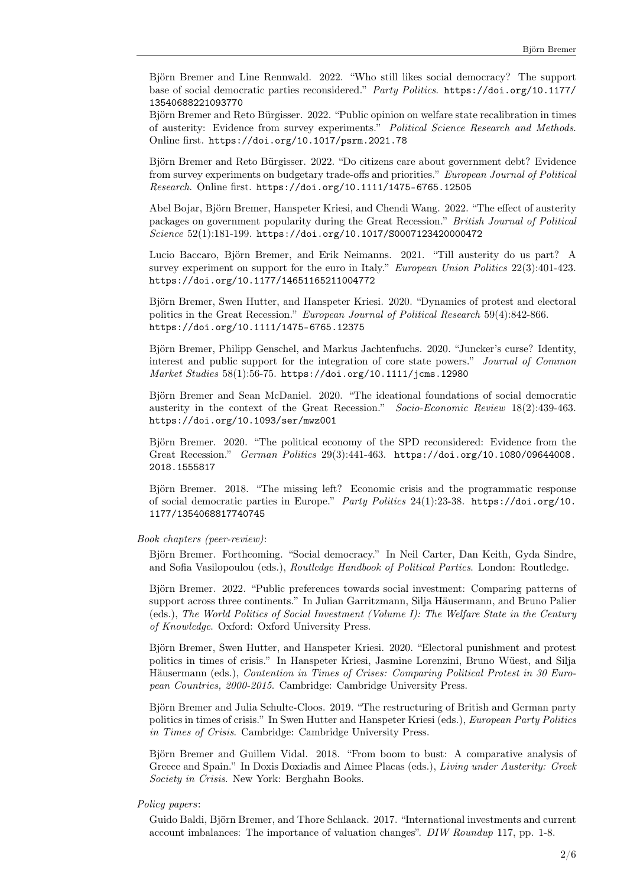Björn Bremer and Line Rennwald. 2022. "Who still likes social democracy? The support base of social democratic parties reconsidered.'' Party Politics. [https://doi.org/10.1177/](https://doi.org/10.1177/13540688221093770) [13540688221093770](https://doi.org/10.1177/13540688221093770)

Björn Bremer and Reto Bürgisser. 2022. "Public opinion on welfare state recalibration in times of austerity: Evidence from survey experiments.'' Political Science Research and Methods. Online first. <https://doi.org/10.1017/psrm.2021.78>

Björn Bremer and Reto Bürgisser. 2022. "Do citizens care about government debt? Evidence from survey experiments on budgetary trade-offs and priorities.'' European Journal of Political Research. Online first. <https://doi.org/10.1111/1475-6765.12505>

Abel Bojar, Björn Bremer, Hanspeter Kriesi, and Chendi Wang. 2022. "The effect of austerity packages on government popularity during the Great Recession.'' British Journal of Political Science 52(1):181-199. <https://doi.org/10.1017/S0007123420000472>

Lucio Baccaro, Björn Bremer, and Erik Neimanns. 2021. "Till austerity do us part? A survey experiment on support for the euro in Italy." *European Union Politics* 22(3):401-423. <https://doi.org/10.1177/14651165211004772>

Björn Bremer, Swen Hutter, and Hanspeter Kriesi. 2020. "Dynamics of protest and electoral politics in the Great Recession.'' European Journal of Political Research 59(4):842-866. <https://doi.org/10.1111/1475-6765.12375>

Björn Bremer, Philipp Genschel, and Markus Jachtenfuchs. 2020. "Juncker's curse? Identity, interest and public support for the integration of core state powers.'' Journal of Common Market Studies 58(1):56-75. <https://doi.org/10.1111/jcms.12980>

Björn Bremer and Sean McDaniel. 2020. "The ideational foundations of social democratic austerity in the context of the Great Recession.'' Socio-Economic Review 18(2):439-463. <https://doi.org/10.1093/ser/mwz001>

Björn Bremer. 2020. "The political economy of the SPD reconsidered: Evidence from the Great Recession.'' German Politics 29(3):441-463. [https://doi.org/10.1080/09644008.](https://doi.org/10.1080/09644008.2018.1555817) [2018.1555817](https://doi.org/10.1080/09644008.2018.1555817)

Björn Bremer. 2018. "The missing left? Economic crisis and the programmatic response of social democratic parties in Europe.'' Party Politics 24(1):23-38. [https://doi.org/10.](https://doi.org/10.1177/1354068817740745) [1177/1354068817740745](https://doi.org/10.1177/1354068817740745)

## Book chapters (peer-review):

Björn Bremer. Forthcoming. "Social democracy." In Neil Carter, Dan Keith, Gyda Sindre, and Sofia Vasilopoulou (eds.), Routledge Handbook of Political Parties. London: Routledge.

Björn Bremer. 2022. "Public preferences towards social investment: Comparing patterns of support across three continents." In Julian Garritzmann, Silja Häusermann, and Bruno Palier (eds.), The World Politics of Social Investment (Volume I): The Welfare State in the Century of Knowledge. Oxford: Oxford University Press.

Björn Bremer, Swen Hutter, and Hanspeter Kriesi. 2020. "Electoral punishment and protest politics in times of crisis." In Hanspeter Kriesi, Jasmine Lorenzini, Bruno Wüest, and Silja Häusermann (eds.), Contention in Times of Crises: Comparing Political Protest in 30 European Countries, 2000-2015. Cambridge: Cambridge University Press.

Björn Bremer and Julia Schulte-Cloos. 2019. "The restructuring of British and German party politics in times of crisis.'' In Swen Hutter and Hanspeter Kriesi (eds.), European Party Politics in Times of Crisis. Cambridge: Cambridge University Press.

Björn Bremer and Guillem Vidal. 2018. "From boom to bust: A comparative analysis of Greece and Spain.'' In Doxis Doxiadis and Aimee Placas (eds.), Living under Austerity: Greek Society in Crisis. New York: Berghahn Books.

# Policy papers:

Guido Baldi, Björn Bremer, and Thore Schlaack. 2017. "International investments and current account imbalances: The importance of valuation changes''. DIW Roundup 117, pp. 1-8.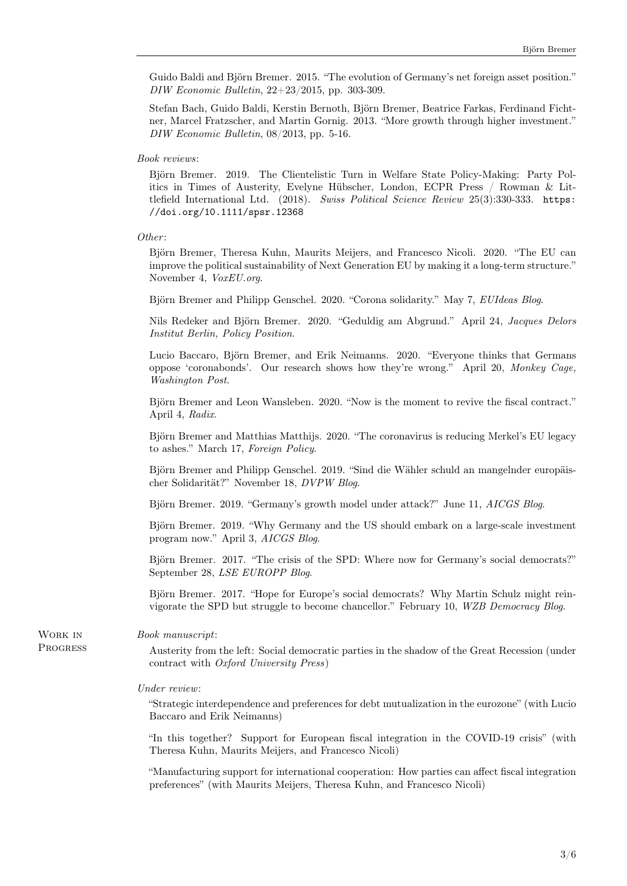Guido Baldi and Björn Bremer. 2015. "The evolution of Germany's net foreign asset position." DIW Economic Bulletin, 22+23/2015, pp. 303-309.

Stefan Bach, Guido Baldi, Kerstin Bernoth, Björn Bremer, Beatrice Farkas, Ferdinand Fichtner, Marcel Fratzscher, and Martin Gornig. 2013. ``More growth through higher investment.'' DIW Economic Bulletin, 08/2013, pp. 5-16.

# Book reviews:

Björn Bremer. 2019. The Clientelistic Turn in Welfare State Policy-Making: Party Politics in Times of Austerity, Evelyne Hübscher, London, ECPR Press / Rowman  $\&$  Littlefield International Ltd. (2018). Swiss Political Science Review 25(3):330-333. [https:](https://doi.org/10.1111/spsr.12368) [//doi.org/10.1111/spsr.12368](https://doi.org/10.1111/spsr.12368)

## Other:

Björn Bremer, Theresa Kuhn, Maurits Meijers, and Francesco Nicoli. 2020. "The EU can improve the political sustainability of Next Generation EU by making it a long-term structure.'' November 4, VoxEU.org.

Björn Bremer and Philipp Genschel. 2020. "Corona solidarity." May 7, EUIdeas Blog.

Nils Redeker and Björn Bremer. 2020. "Geduldig am Abgrund." April 24, Jacques Delors Institut Berlin, Policy Position.

Lucio Baccaro, Björn Bremer, and Erik Neimanns. 2020. "Everyone thinks that Germans oppose `coronabonds'. Our research shows how they're wrong.'' April 20, Monkey Cage, Washington Post.

Björn Bremer and Leon Wansleben. 2020. "Now is the moment to revive the fiscal contract." April 4, Radix.

Björn Bremer and Matthias Matthijs. 2020. "The coronavirus is reducing Merkel's EU legacy to ashes.'' March 17, Foreign Policy.

Björn Bremer and Philipp Genschel. 2019. "Sind die Wähler schuld an mangelnder europäischer Solidarität?" November 18, DVPW Blog.

Björn Bremer. 2019. "Germany's growth model under attack?" June 11, AICGS Blog.

Björn Bremer. 2019. "Why Germany and the US should embark on a large-scale investment program now.'' April 3, AICGS Blog.

Björn Bremer. 2017. "The crisis of the SPD: Where now for Germany's social democrats?" September 28, LSE EUROPP Blog.

Björn Bremer. 2017. "Hope for Europe's social democrats? Why Martin Schulz might reinvigorate the SPD but struggle to become chancellor.'' February 10, WZB Democracy Blog.

#### Book manuscript:

Austerity from the left: Social democratic parties in the shadow of the Great Recession (under contract with Oxford University Press)

# Under review:

``Strategic interdependence and preferences for debt mutualization in the eurozone'' (with Lucio Baccaro and Erik Neimanns)

"In this together? Support for European fiscal integration in the COVID-19 crisis" (with Theresa Kuhn, Maurits Meijers, and Francesco Nicoli)

``Manufacturing support for international cooperation: How parties can affect fiscal integration preferences'' (with Maurits Meijers, Theresa Kuhn, and Francesco Nicoli)

Work in **PROGRESS**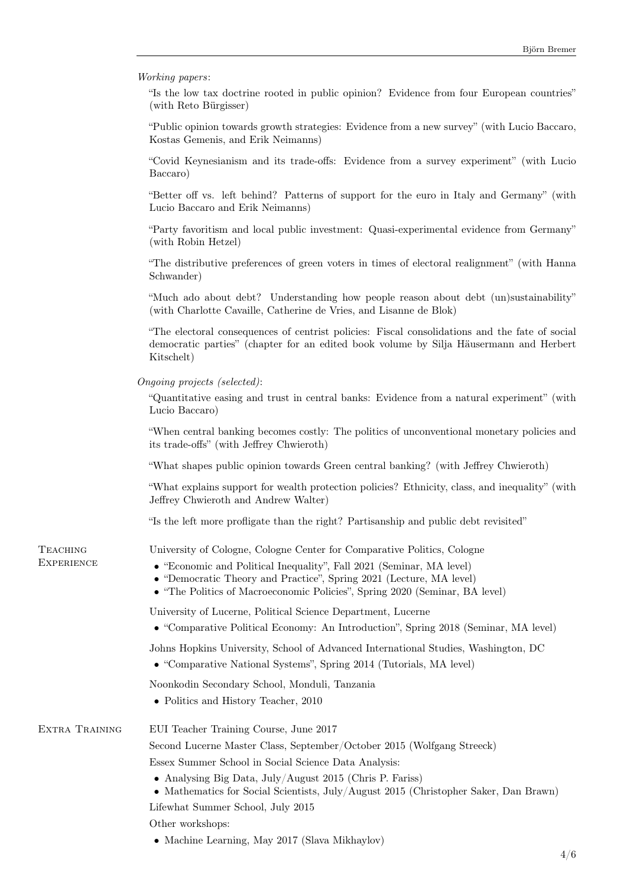|  | <i>Working papers:</i> |  |
|--|------------------------|--|
|--|------------------------|--|

``Is the low tax doctrine rooted in public opinion? Evidence from four European countries'' (with Reto Bürgisser)

``Public opinion towards growth strategies: Evidence from a new survey'' (with Lucio Baccaro, Kostas Gemenis, and Erik Neimanns)

``Covid Keynesianism and its trade-offs: Evidence from a survey experiment'' (with Lucio Baccaro)

``Better off vs. left behind? Patterns of support for the euro in Italy and Germany'' (with Lucio Baccaro and Erik Neimanns)

``Party favoritism and local public investment: Quasi-experimental evidence from Germany'' (with Robin Hetzel)

``The distributive preferences of green voters in times of electoral realignment'' (with Hanna Schwander)

``Much ado about debt? Understanding how people reason about debt (un)sustainability'' (with Charlotte Cavaille, Catherine de Vries, and Lisanne de Blok)

``The electoral consequences of centrist policies: Fiscal consolidations and the fate of social democratic parties'' (chapter for an edited book volume by Silja H\"ausermann and Herbert Kitschelt)

Ongoing projects (selected):

**TEACHING** 

``Quantitative easing and trust in central banks: Evidence from a natural experiment'' (with Lucio Baccaro)

``When central banking becomes costly: The politics of unconventional monetary policies and its trade-offs'' (with Jeffrey Chwieroth)

``What shapes public opinion towards Green central banking? (with Jeffrey Chwieroth)

"What explains support for wealth protection policies? Ethnicity, class, and inequality" (with Jeffrey Chwieroth and Andrew Walter)

``Is the left more profligate than the right? Partisanship and public debt revisited''

University of Cologne, Cologne Center for Comparative Politics, Cologne

| <b>EXPERIENCE</b> | • "Economic and Political Inequality", Fall 2021 (Seminar, MA level)<br>• "Democratic Theory and Practice", Spring 2021 (Lecture, MA level)<br>• "The Politics of Macroeconomic Policies", Spring 2020 (Seminar, BA level) |  |
|-------------------|----------------------------------------------------------------------------------------------------------------------------------------------------------------------------------------------------------------------------|--|
|                   | University of Lucerne, Political Science Department, Lucerne<br>• "Comparative Political Economy: An Introduction", Spring 2018 (Seminar, MA level)                                                                        |  |
|                   | Johns Hopkins University, School of Advanced International Studies, Washington, DC<br>• "Comparative National Systems", Spring 2014 (Tutorials, MA level)                                                                  |  |
|                   | Noonkodin Secondary School, Monduli, Tanzania<br>• Politics and History Teacher, 2010                                                                                                                                      |  |
| EXTRA TRAINING    | EUI Teacher Training Course, June 2017                                                                                                                                                                                     |  |
|                   | Second Lucerne Master Class, September/October 2015 (Wolfgang Streeck)<br>Essex Summer School in Social Science Data Analysis:                                                                                             |  |
|                   | • Analysing Big Data, July/August 2015 (Chris P. Fariss)<br>• Mathematics for Social Scientists, July/August 2015 (Christopher Saker, Dan Brawn)                                                                           |  |
|                   | Lifewhat Summer School, July 2015                                                                                                                                                                                          |  |
|                   | Other workshops:                                                                                                                                                                                                           |  |
|                   | • Machine Learning, May 2017 (Slava Mikhaylov)                                                                                                                                                                             |  |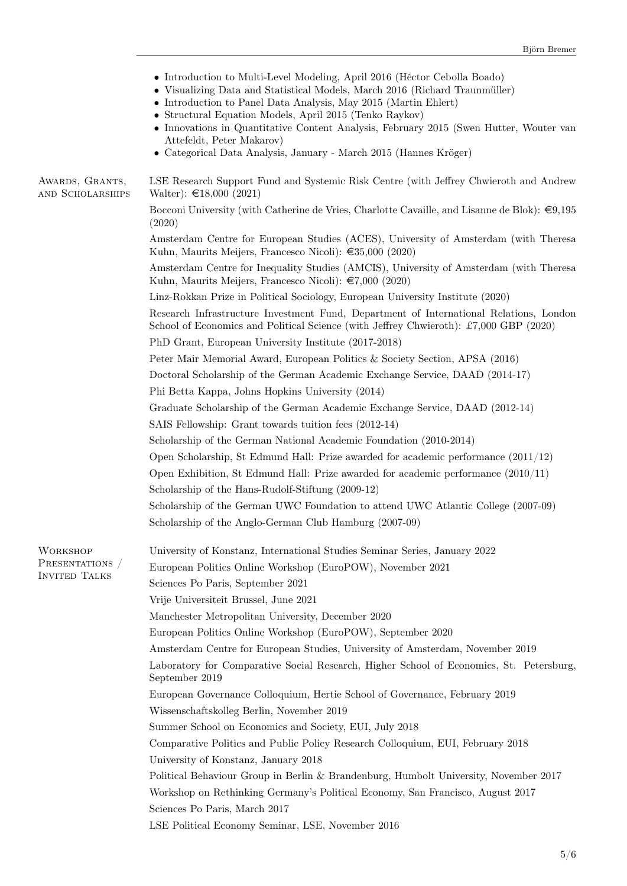|                                         | • Introduction to Multi-Level Modeling, April 2016 (Héctor Cebolla Boado)<br>• Visualizing Data and Statistical Models, March 2016 (Richard Traunmüller)<br>• Introduction to Panel Data Analysis, May 2015 (Martin Ehlert)<br>• Structural Equation Models, April 2015 (Tenko Raykov)<br>• Innovations in Quantitative Content Analysis, February 2015 (Swen Hutter, Wouter van<br>Attefeldt, Peter Makarov)<br>• Categorical Data Analysis, January - March 2015 (Hannes Kröger) |
|-----------------------------------------|------------------------------------------------------------------------------------------------------------------------------------------------------------------------------------------------------------------------------------------------------------------------------------------------------------------------------------------------------------------------------------------------------------------------------------------------------------------------------------|
| AWARDS, GRANTS,<br>AND SCHOLARSHIPS     | LSE Research Support Fund and Systemic Risk Centre (with Jeffrey Chwieroth and Andrew<br>Walter): $\text{£}18,000$ (2021)                                                                                                                                                                                                                                                                                                                                                          |
|                                         | Bocconi University (with Catherine de Vries, Charlotte Cavaille, and Lisanne de Blok): $\in 9,195$<br>(2020)                                                                                                                                                                                                                                                                                                                                                                       |
|                                         | Amsterdam Centre for European Studies (ACES), University of Amsterdam (with Theresa<br>Kuhn, Maurits Meijers, Francesco Nicoli): $\epsilon$ 35,000 (2020)                                                                                                                                                                                                                                                                                                                          |
|                                         | Amsterdam Centre for Inequality Studies (AMCIS), University of Amsterdam (with Theresa<br>Kuhn, Maurits Meijers, Francesco Nicoli): $\epsilon$ 7,000 (2020)                                                                                                                                                                                                                                                                                                                        |
|                                         | Linz-Rokkan Prize in Political Sociology, European University Institute (2020)                                                                                                                                                                                                                                                                                                                                                                                                     |
|                                         | Research Infrastructure Investment Fund, Department of International Relations, London<br>School of Economics and Political Science (with Jeffrey Chwieroth): £7,000 GBP (2020)                                                                                                                                                                                                                                                                                                    |
|                                         | PhD Grant, European University Institute (2017-2018)<br>Peter Mair Memorial Award, European Politics & Society Section, APSA (2016)                                                                                                                                                                                                                                                                                                                                                |
|                                         | Doctoral Scholarship of the German Academic Exchange Service, DAAD (2014-17)                                                                                                                                                                                                                                                                                                                                                                                                       |
|                                         | Phi Betta Kappa, Johns Hopkins University (2014)                                                                                                                                                                                                                                                                                                                                                                                                                                   |
|                                         | Graduate Scholarship of the German Academic Exchange Service, DAAD (2012-14)                                                                                                                                                                                                                                                                                                                                                                                                       |
|                                         | SAIS Fellowship: Grant towards tuition fees (2012-14)                                                                                                                                                                                                                                                                                                                                                                                                                              |
|                                         | Scholarship of the German National Academic Foundation (2010-2014)                                                                                                                                                                                                                                                                                                                                                                                                                 |
|                                         | Open Scholarship, St Edmund Hall: Prize awarded for academic performance $(2011/12)$                                                                                                                                                                                                                                                                                                                                                                                               |
|                                         | Open Exhibition, St Edmund Hall: Prize awarded for academic performance $(2010/11)$                                                                                                                                                                                                                                                                                                                                                                                                |
|                                         | Scholarship of the Hans-Rudolf-Stiftung (2009-12)                                                                                                                                                                                                                                                                                                                                                                                                                                  |
|                                         | Scholarship of the German UWC Foundation to attend UWC Atlantic College (2007-09)                                                                                                                                                                                                                                                                                                                                                                                                  |
|                                         | Scholarship of the Anglo-German Club Hamburg (2007-09)                                                                                                                                                                                                                                                                                                                                                                                                                             |
| <b>WORKSHOP</b>                         | University of Konstanz, International Studies Seminar Series, January 2022                                                                                                                                                                                                                                                                                                                                                                                                         |
| PRESENTATIONS /<br><b>INVITED TALKS</b> | European Politics Online Workshop (EuroPOW), November 2021                                                                                                                                                                                                                                                                                                                                                                                                                         |
|                                         | Sciences Po Paris, September 2021                                                                                                                                                                                                                                                                                                                                                                                                                                                  |
|                                         | Vrije Universiteit Brussel, June 2021                                                                                                                                                                                                                                                                                                                                                                                                                                              |
|                                         | Manchester Metropolitan University, December 2020                                                                                                                                                                                                                                                                                                                                                                                                                                  |
|                                         | European Politics Online Workshop (EuroPOW), September 2020                                                                                                                                                                                                                                                                                                                                                                                                                        |
|                                         | Amsterdam Centre for European Studies, University of Amsterdam, November 2019                                                                                                                                                                                                                                                                                                                                                                                                      |
|                                         | Laboratory for Comparative Social Research, Higher School of Economics, St. Petersburg,<br>September 2019                                                                                                                                                                                                                                                                                                                                                                          |
|                                         | European Governance Colloquium, Hertie School of Governance, February 2019                                                                                                                                                                                                                                                                                                                                                                                                         |
|                                         | Wissenschaftskolleg Berlin, November 2019                                                                                                                                                                                                                                                                                                                                                                                                                                          |
|                                         | Summer School on Economics and Society, EUI, July 2018                                                                                                                                                                                                                                                                                                                                                                                                                             |
|                                         | Comparative Politics and Public Policy Research Colloquium, EUI, February 2018                                                                                                                                                                                                                                                                                                                                                                                                     |
|                                         | University of Konstanz, January 2018                                                                                                                                                                                                                                                                                                                                                                                                                                               |
|                                         | Political Behaviour Group in Berlin & Brandenburg, Humbolt University, November 2017                                                                                                                                                                                                                                                                                                                                                                                               |
|                                         | Workshop on Rethinking Germany's Political Economy, San Francisco, August 2017<br>Sciences Po Paris, March 2017                                                                                                                                                                                                                                                                                                                                                                    |
|                                         | LSE Political Economy Seminar, LSE, November 2016                                                                                                                                                                                                                                                                                                                                                                                                                                  |
|                                         |                                                                                                                                                                                                                                                                                                                                                                                                                                                                                    |